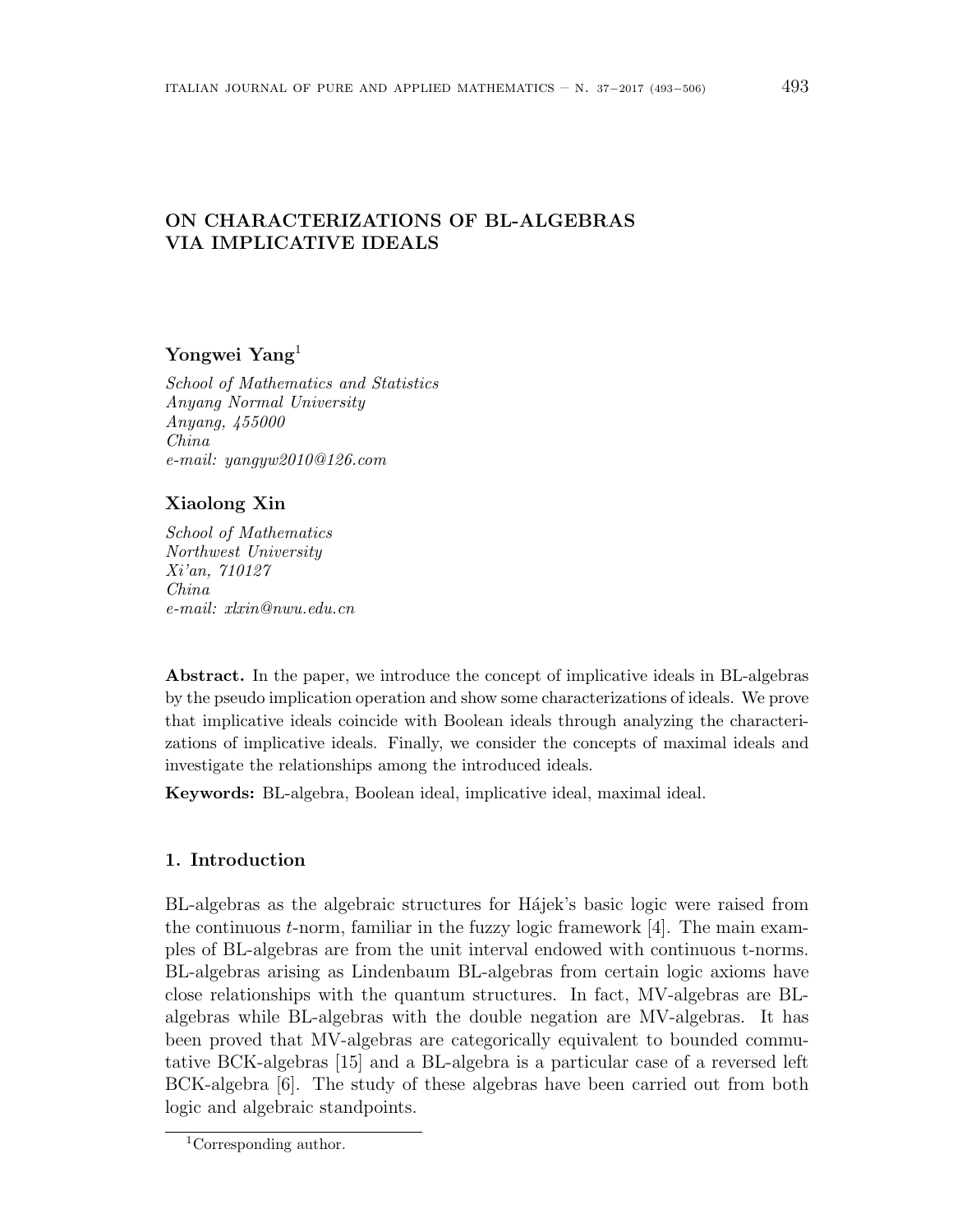# **ON CHARACTERIZATIONS OF BL-ALGEBRAS VIA IMPLICATIVE IDEALS**

## **Yongwei Yang**<sup>1</sup>

*School of Mathematics and Statistics Anyang Normal University Anyang, 455000 China e-mail: yangyw2010@126.com*

### **Xiaolong Xin**

*School of Mathematics Northwest University Xi'an, 710127 China e-mail: xlxin@nwu.edu.cn*

Abstract. In the paper, we introduce the concept of implicative ideals in BL-algebras by the pseudo implication operation and show some characterizations of ideals. We prove that implicative ideals coincide with Boolean ideals through analyzing the characterizations of implicative ideals. Finally, we consider the concepts of maximal ideals and investigate the relationships among the introduced ideals.

**Keywords:** BL-algebra, Boolean ideal, implicative ideal, maximal ideal.

### **1. Introduction**

BL-algebras as the algebraic structures for Hájek's basic logic were raised from the continuous *t*-norm, familiar in the fuzzy logic framework [4]. The main examples of BL-algebras are from the unit interval endowed with continuous t-norms. BL-algebras arising as Lindenbaum BL-algebras from certain logic axioms have close relationships with the quantum structures. In fact, MV-algebras are BLalgebras while BL-algebras with the double negation are MV-algebras. It has been proved that MV-algebras are categorically equivalent to bounded commutative BCK-algebras [15] and a BL-algebra is a particular case of a reversed left BCK-algebra [6]. The study of these algebras have been carried out from both logic and algebraic standpoints.

<sup>1</sup>Corresponding author.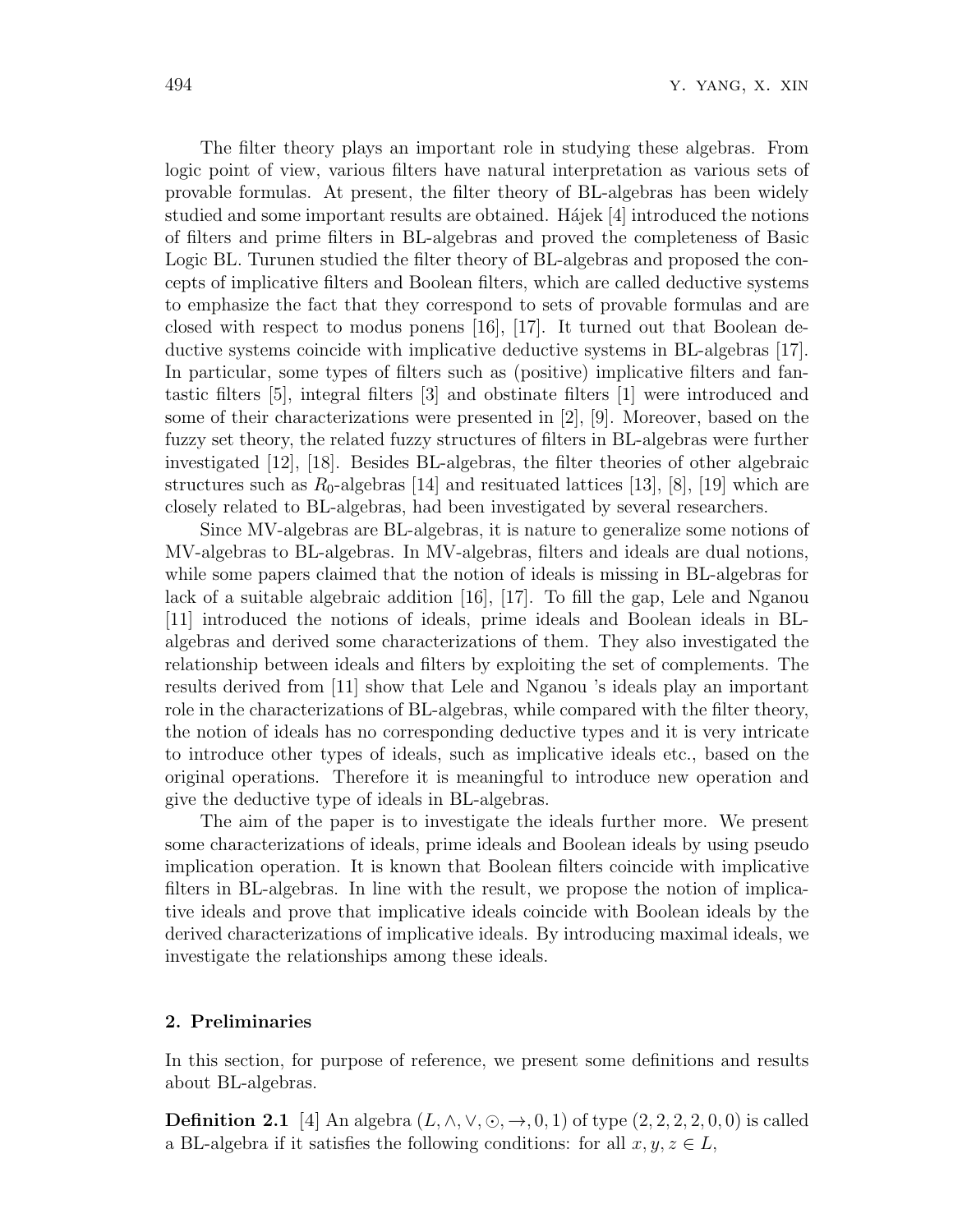The filter theory plays an important role in studying these algebras. From logic point of view, various filters have natural interpretation as various sets of provable formulas. At present, the filter theory of BL-algebras has been widely studied and some important results are obtained. Hájek  $[4]$  introduced the notions of filters and prime filters in BL-algebras and proved the completeness of Basic Logic BL. Turunen studied the filter theory of BL-algebras and proposed the concepts of implicative filters and Boolean filters, which are called deductive systems to emphasize the fact that they correspond to sets of provable formulas and are closed with respect to modus ponens [16], [17]. It turned out that Boolean deductive systems coincide with implicative deductive systems in BL-algebras [17]. In particular, some types of filters such as (positive) implicative filters and fantastic filters [5], integral filters [3] and obstinate filters [1] were introduced and some of their characterizations were presented in [2], [9]. Moreover, based on the fuzzy set theory, the related fuzzy structures of filters in BL-algebras were further investigated [12], [18]. Besides BL-algebras, the filter theories of other algebraic structures such as  $R_0$ -algebras [14] and resituated lattices [13], [8], [19] which are closely related to BL-algebras, had been investigated by several researchers.

Since MV-algebras are BL-algebras, it is nature to generalize some notions of MV-algebras to BL-algebras. In MV-algebras, filters and ideals are dual notions, while some papers claimed that the notion of ideals is missing in BL-algebras for lack of a suitable algebraic addition [16], [17]. To fill the gap, Lele and Nganou [11] introduced the notions of ideals, prime ideals and Boolean ideals in BLalgebras and derived some characterizations of them. They also investigated the relationship between ideals and filters by exploiting the set of complements. The results derived from [11] show that Lele and Nganou 's ideals play an important role in the characterizations of BL-algebras, while compared with the filter theory, the notion of ideals has no corresponding deductive types and it is very intricate to introduce other types of ideals, such as implicative ideals etc., based on the original operations. Therefore it is meaningful to introduce new operation and give the deductive type of ideals in BL-algebras.

The aim of the paper is to investigate the ideals further more. We present some characterizations of ideals, prime ideals and Boolean ideals by using pseudo implication operation. It is known that Boolean filters coincide with implicative filters in BL-algebras. In line with the result, we propose the notion of implicative ideals and prove that implicative ideals coincide with Boolean ideals by the derived characterizations of implicative ideals. By introducing maximal ideals, we investigate the relationships among these ideals.

#### **2. Preliminaries**

In this section, for purpose of reference, we present some definitions and results about BL-algebras.

**Definition 2.1** [4] An algebra  $(L, \wedge, \vee, \odot, \rightarrow, 0, 1)$  of type  $(2, 2, 2, 2, 0, 0)$  is called a BL-algebra if it satisfies the following conditions: for all  $x, y, z \in L$ ,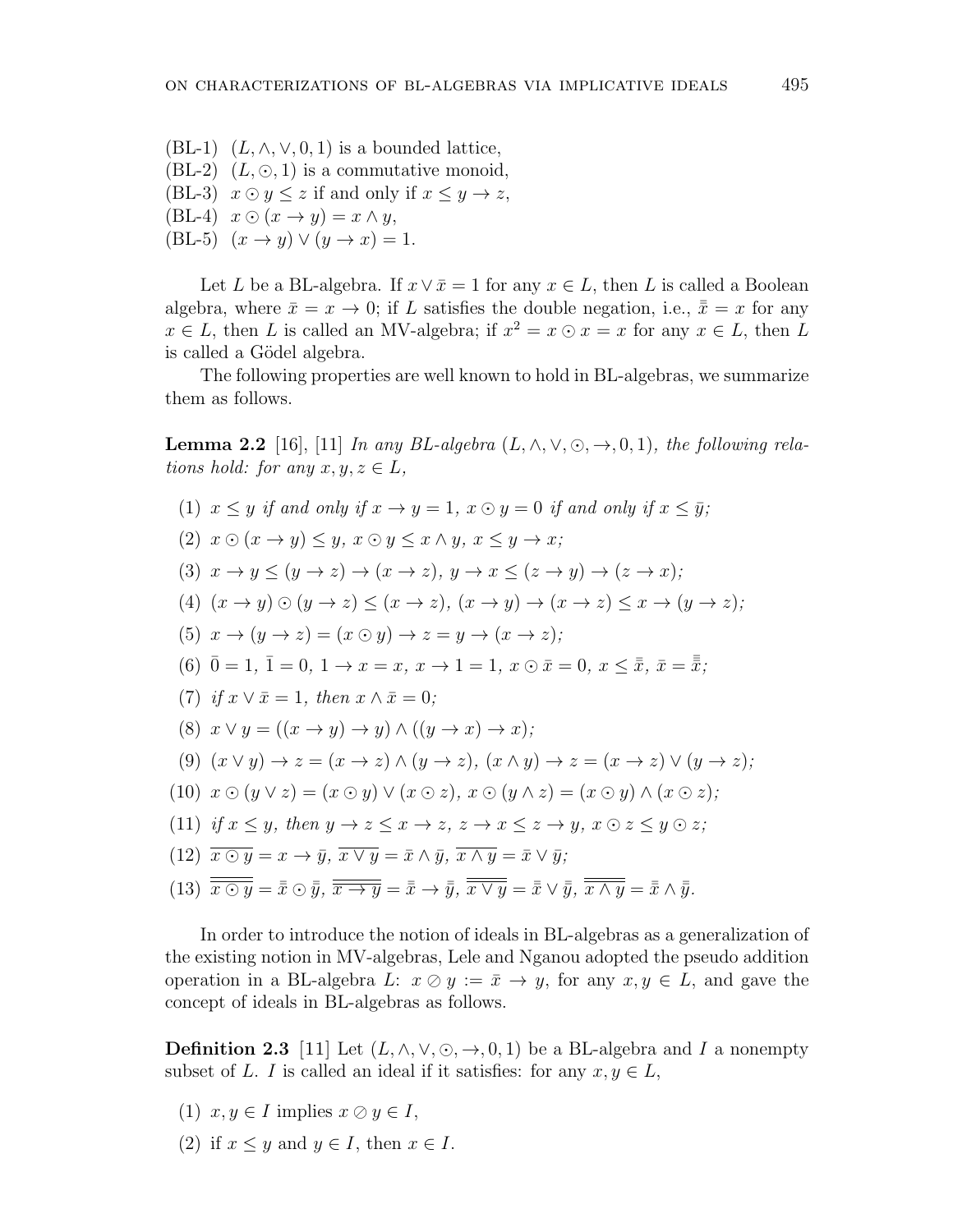(BL-1)  $(L, \wedge, \vee, 0, 1)$  is a bounded lattice, (BL-2)  $(L, \odot, 1)$  is a commutative monoid, (BL-3)  $x \odot y \leq z$  if and only if  $x \leq y \rightarrow z$ ,  $(BL-4)$   $x \odot (x \rightarrow y) = x \land y$ ,  $(BL-5)$   $(x \rightarrow y) \vee (y \rightarrow x) = 1.$ 

Let *L* be a BL-algebra. If  $x \vee \overline{x} = 1$  for any  $x \in L$ , then *L* is called a Boolean algebra, where  $\bar{x} = x \rightarrow 0$ ; if *L* satisfies the double negation, i.e.,  $\bar{\bar{x}} = x$  for any  $x \in L$ , then *L* is called an MV-algebra; if  $x^2 = x \odot x = x$  for any  $x \in L$ , then *L* is called a Gödel algebra.

The following properties are well known to hold in BL-algebras, we summarize them as follows.

**Lemma 2.2** [16], [11] *In any BL-algebra*  $(L, \wedge, \vee, \odot, \rightarrow, 0, 1)$ *, the following relations hold: for any*  $x, y, z \in L$ *,* 

(1) 
$$
x \leq y
$$
 if and only if  $x \to y = 1$ ,  $x \odot y = 0$  if and only if  $x \leq \bar{y}$ ;  
\n(2)  $x \odot (x \to y) \leq y$ ,  $x \odot y \leq x \land y$ ,  $x \leq y \to x$ ;  
\n(3)  $x \to y \leq (y \to z) \to (x \to z)$ ,  $y \to x \leq (z \to y) \to (z \to x)$ ;  
\n(4)  $(x \to y) \odot (y \to z) \leq (x \to z)$ ,  $(x \to y) \to (x \to z) \leq x \to (y \to z)$ ;  
\n(5)  $x \to (y \to z) = (x \odot y) \to z = y \to (x \to z)$ ;  
\n(6)  $\bar{0} = 1$ ,  $\bar{1} = 0$ ,  $1 \to x = x$ ,  $x \to 1 = 1$ ,  $x \odot \bar{x} = 0$ ,  $x \leq \bar{x}$ ,  $\bar{x} = \bar{\bar{x}}$ ;  
\n(7) if  $x \lor \bar{x} = 1$ , then  $x \land \bar{x} = 0$ ;  
\n(8)  $x \lor y = ((x \to y) \to y) \land ((y \to x) \to x)$ ;  
\n(9)  $(x \lor y) \to z = (x \to z) \land (y \to z)$ ,  $(x \land y) \to z = (x \to z) \lor (y \to z)$ ;  
\n(10)  $x \odot (y \lor z) = (x \odot y) \lor (x \odot z)$ ,  $x \odot (y \land z) = (x \odot y) \land (x \odot z)$ ;  
\n(11) if  $x \leq y$ , then  $y \to z \leq x \to z$ ,  $z \to x \leq z \to y$ ,  $x \odot z \leq y \odot z$ ;  
\n(12)  $\overline{x \odot y} = x \to \bar{y}$ ,  $\overline{x \lor y} = \bar{x} \land \bar{y}$ ,  $\overline{x \land y} = \bar{x} \lor \bar{y}$ ;  
\n(13)  $\overline{\overline{x \odot y}} = \bar{x}$ 

In order to introduce the notion of ideals in BL-algebras as a generalization of the existing notion in MV-algebras, Lele and Nganou adopted the pseudo addition operation in a BL-algebra  $L: x \oslash y := \bar{x} \rightarrow y$ , for any  $x, y \in L$ , and gave the concept of ideals in BL-algebras as follows.

**Definition 2.3** [11] Let  $(L, \wedge, \vee, \odot, \rightarrow, 0, 1)$  be a BL-algebra and *I* a nonempty subset of *L*. *I* is called an ideal if it satisfies: for any  $x, y \in L$ ,

- $(1)$   $x, y \in I$  implies  $x \oslash y \in I$ ,
- (2) if  $x \leq y$  and  $y \in I$ , then  $x \in I$ .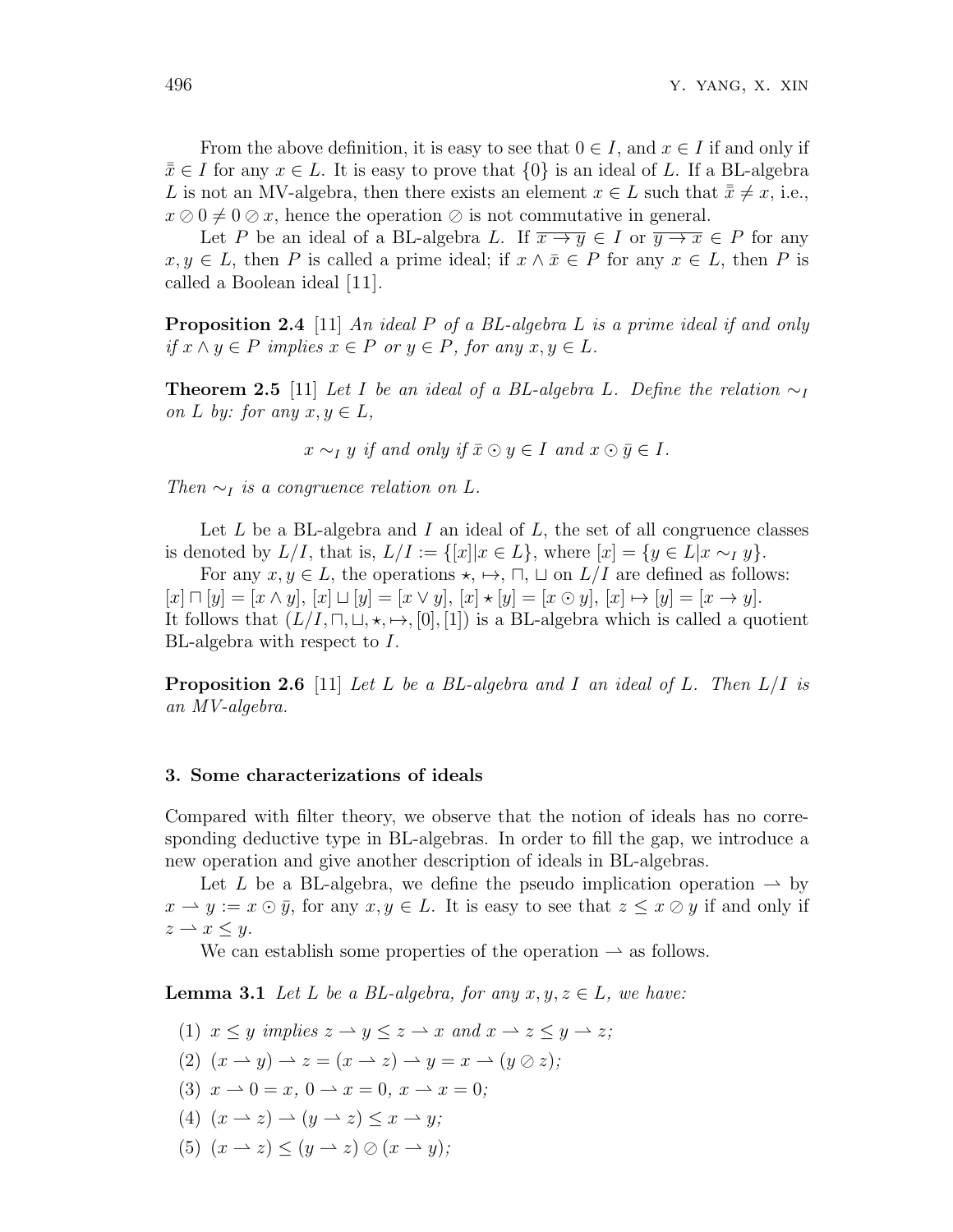From the above definition, it is easy to see that  $0 \in I$ , and  $x \in I$  if and only if  $\bar{x}$  ∈ *I* for any  $x \in L$ . It is easy to prove that  $\{0\}$  is an ideal of *L*. If a BL-algebra *L* is not an MV-algebra, then there exists an element  $x \in L$  such that  $\bar{x} \neq x$ , i.e.,  $x \oslash 0 \neq 0 \oslash x$ , hence the operation  $\oslash$  is not commutative in general.

Let *P* be an ideal of a BL-algebra *L*. If  $\overline{x \rightarrow y} \in I$  or  $\overline{y \rightarrow x} \in P$  for any  $x, y \in L$ , then *P* is called a prime ideal; if  $x \wedge \overline{x} \in P$  for any  $x \in L$ , then *P* is called a Boolean ideal [11].

**Proposition 2.4** [11] *An ideal P of a BL-algebra L is a prime ideal if and only*  $if x \land y \in P$  *implies*  $x \in P$  *or*  $y \in P$ *, for any*  $x, y \in L$ *.* 

**Theorem 2.5** [11] *Let I be an ideal of a BL-algebra L. Define the relation*  $\sim$ *I on L by: for any*  $x, y \in L$ *,* 

 $x \sim I$  *y if and only if*  $\overline{x} \odot y \in I$  *and*  $x \odot \overline{y} \in I$ *.* 

*Then*  $\sim_I$  *is a congruence relation on*  $L$ *.* 

Let *L* be a BL-algebra and *I* an ideal of *L*, the set of all congruence classes is denoted by  $L/I$ , that is,  $L/I := \{ [x] | x \in L \}$ , where  $[x] = \{ y \in L | x \sim_I y \}$ .

For any  $x, y \in L$ , the operations  $\star$ ,  $\mapsto$ ,  $\sqcap$ ,  $\sqcup$  on  $L/I$  are defined as follows:  $[x] \sqcap [y] = [x \wedge y], [x] \sqcup [y] = [x \vee y], [x] \star [y] = [x \odot y], [x] \mapsto [y] = [x \rightarrow y].$ It follows that  $(L/I, \Pi, \sqcup, \star, \mapsto, [0], [1])$  is a BL-algebra which is called a quotient BL-algebra with respect to *I*.

**Proposition 2.6** [11] *Let L be a BL-algebra and I an ideal of L. Then L/I is an MV-algebra.*

#### **3. Some characterizations of ideals**

Compared with filter theory, we observe that the notion of ideals has no corresponding deductive type in BL-algebras. In order to fill the gap, we introduce a new operation and give another description of ideals in BL-algebras.

Let *L* be a BL-algebra, we define the pseudo implication operation  $\rightarrow$  by  $x \to y := x \odot \bar{y}$ , for any  $x, y \in L$ . It is easy to see that  $z \leq x \oslash y$  if and only if  $z \rightarrow x \leq y$ .

We can establish some properties of the operation  $\rightarrow$  as follows.

**Lemma 3.1** *Let L be a BL-algebra, for any*  $x, y, z \in L$ *, we have:* 

(1)  $x \leq y$  implies  $z \to y \leq z \to x$  and  $x \to z \leq y \to z$ ;

$$
(2) (x \rightarrow y) \rightarrow z = (x \rightarrow z) \rightarrow y = x \rightarrow (y \oslash z);
$$

- (3)  $x \to 0 = x, 0 \to x = 0, x \to x = 0;$
- (4)  $(x \rightarrow z) \rightarrow (y \rightarrow z) \leq x \rightarrow y;$
- (5)  $(x \rightarrow z) < (y \rightarrow z) \oslash (x \rightarrow y)$ ;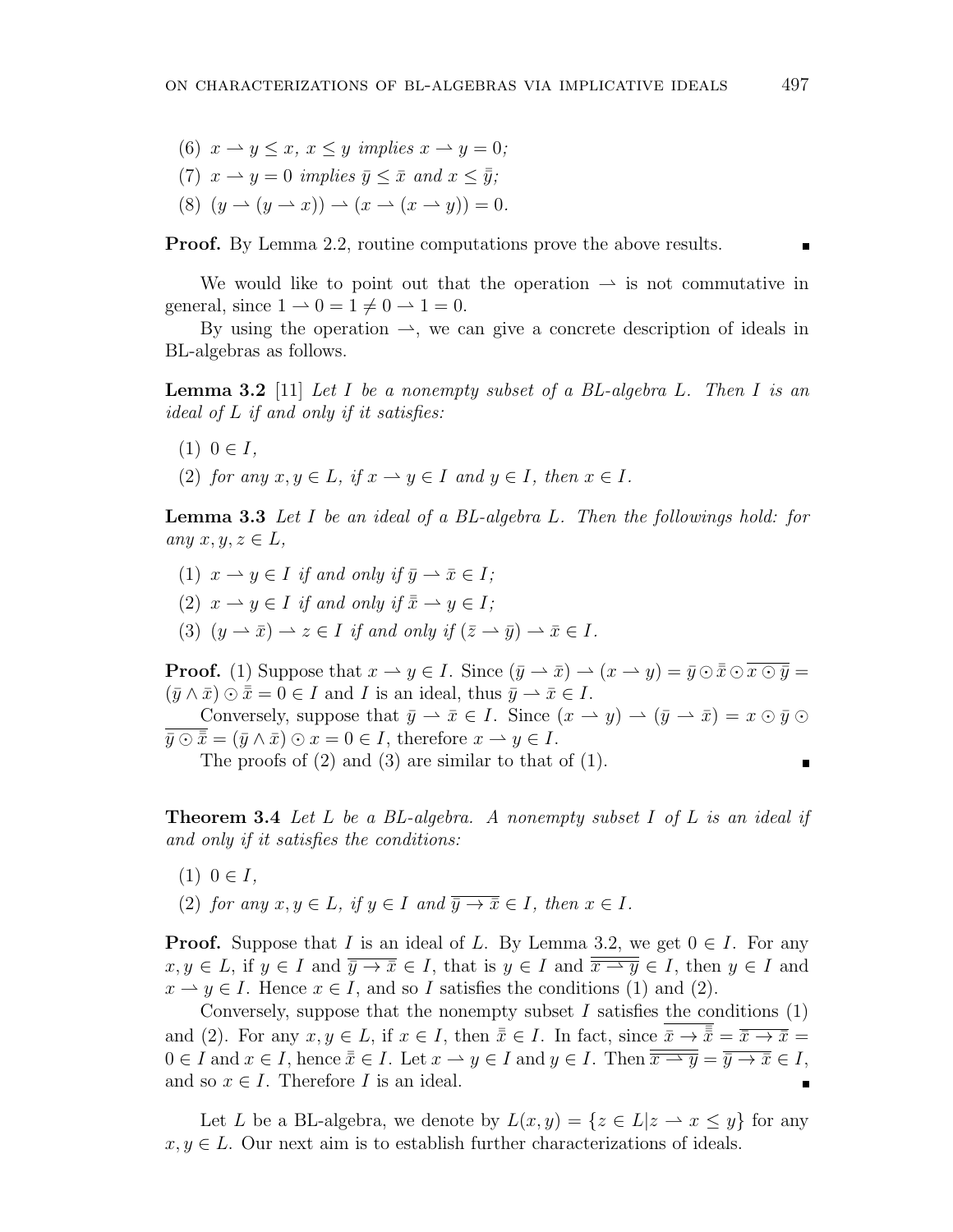(6)  $x \rightarrow y \leq x$ ,  $x \leq y$  *implies*  $x \rightarrow y = 0$ ; (7)  $x \rightarrow y = 0$  *implies*  $\bar{y} \leq \bar{x}$  *and*  $x \leq \bar{y}$ ; (8)  $(y \to (y \to x)) \to (x \to (x \to y)) = 0.$ 

**Proof.** By Lemma 2.2, routine computations prove the above results.

We would like to point out that the operation  $\rightarrow$  is not commutative in general, since  $1 \rightarrow 0 = 1 \neq 0 \rightarrow 1 = 0$ .

By using the operation  $\rightarrow$ , we can give a concrete description of ideals in BL-algebras as follows.

**Lemma 3.2** [11] *Let I be a nonempty subset of a BL-algebra L. Then I is an ideal of L if and only if it satisfies:*

- $(1)$  0  $\in I$ ,
- (2) *for any*  $x, y \in L$ *, if*  $x \to y \in I$  *and*  $y \in I$ *, then*  $x \in I$ *.*

**Lemma 3.3** *Let I be an ideal of a BL-algebra L. Then the followings hold: for*  $any \; x, y, z \in L$ 

- (1)  $x \to y \in I$  *if and only if*  $\bar{y} \to \bar{x} \in I$ ;
- (2)  $x \to y \in I$  *if and only if*  $\overline{x} \to y \in I$ ;
- (3)  $(y \to \bar{x}) \to z \in I$  *if and only if*  $(\bar{z} \to \bar{y}) \to \bar{x} \in I$ *.*

**Proof.** (1) Suppose that  $x \to y \in I$ . Since  $(\bar{y} \to \bar{x}) \to (x \to y) = \bar{y} \odot \bar{x} \odot \bar{x} \odot \bar{y} =$  $(\bar{y} \wedge \bar{x}) \odot \bar{x} = 0 \in I$  and *I* is an ideal, thus  $\bar{y} \rightarrow \bar{x} \in I$ .

Conversely, suppose that  $\bar{y} \to \bar{x} \in I$ . Since  $(x \to y) \to (\bar{y} \to \bar{x}) = x \odot \bar{y} \odot$  $\overline{y} \odot \overline{x} = (\overline{y} \land \overline{x}) \odot x = 0 \in I$ , therefore  $x \to y \in I$ .

The proofs of (2) and (3) are similar to that of (1).

**Theorem 3.4** *Let L be a BL-algebra. A nonempty subset I of L is an ideal if and only if it satisfies the conditions:*

- $(1)$  0  $\in I$ ,
- $(2)$  *for any*  $x, y \in L$ *, if*  $y \in I$  *and*  $\overline{y \rightarrow \overline{x}} \in I$ *, then*  $x \in I$ *.*

**Proof.** Suppose that *I* is an ideal of *L*. By Lemma 3.2, we get  $0 \in I$ . For any  $x, y \in L$ , if  $y \in I$  and  $\overline{y \rightarrow \overline{x}} \in I$ , that is  $y \in I$  and  $\overline{\overline{x \rightarrow y}} \in I$ , then  $y \in I$  and  $x \to y \in I$ . Hence  $x \in I$ , and so *I* satisfies the conditions (1) and (2).

Conversely, suppose that the nonempty subset  $I$  satisfies the conditions  $(1)$ and (2). For any  $x, y \in L$ , if  $x \in I$ , then  $\overline{\overline{x}} \in I$ . In fact, since  $\overline{\overline{x}} \to \overline{\overline{x}} = \overline{\overline{x}} \to \overline{x} =$  $0 \in I$  and  $x \in I$ , hence  $\overline{\overline{x}} \in I$ . Let  $x \to y \in I$  and  $y \in I$ . Then  $\overline{\overline{x \to y}} = \overline{\overline{y} \to \overline{x}} \in I$ , and so  $x \in I$ . Therefore *I* is an ideal. п

Let *L* be a BL-algebra, we denote by  $L(x, y) = \{z \in L | z \to x \leq y\}$  for any  $x, y \in L$ . Our next aim is to establish further characterizations of ideals.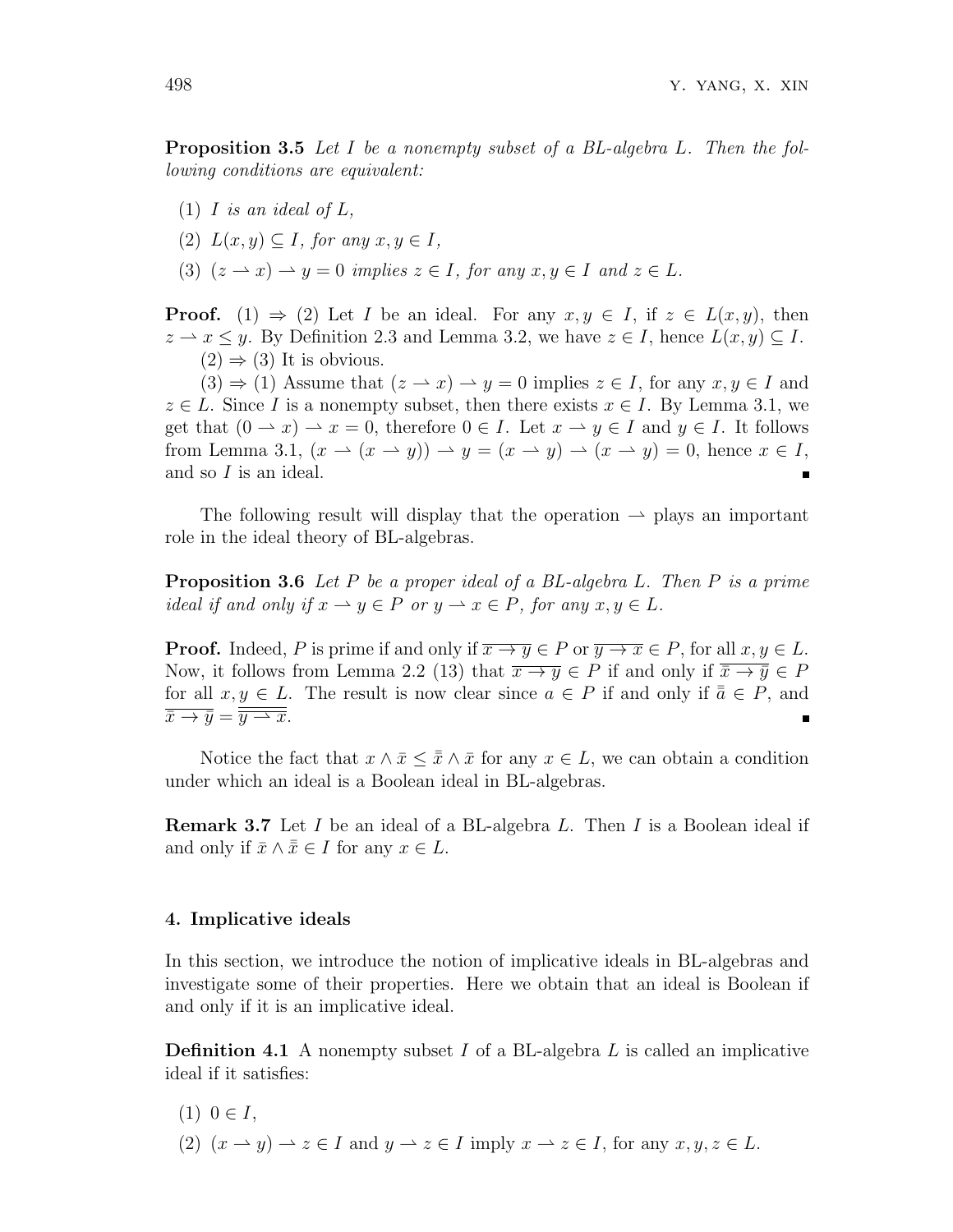**Proposition 3.5** *Let I be a nonempty subset of a BL-algebra L. Then the following conditions are equivalent:*

- $(1)$  *I is an ideal of L*,
- $(2)$   $L(x, y) \subset I$ , for any  $x, y \in I$ ,
- (3)  $(z \rightharpoonup x) \rightharpoonup y = 0$  *implies*  $z \in I$ *, for any*  $x, y \in I$  *and*  $z \in L$ *.*

**Proof.** (1)  $\Rightarrow$  (2) Let *I* be an ideal. For any  $x, y \in I$ , if  $z \in L(x, y)$ , then  $z \rightarrow x \leq y$ . By Definition 2.3 and Lemma 3.2, we have  $z \in I$ , hence  $L(x, y) \subseteq I$ .  $(2) \Rightarrow (3)$  It is obvious.

 $(3) \Rightarrow (1)$  Assume that  $(z \rightarrow x) \rightarrow y = 0$  implies  $z \in I$ , for any  $x, y \in I$  and  $z \in L$ . Since *I* is a nonempty subset, then there exists  $x \in I$ . By Lemma 3.1, we get that  $(0 \rightarrow x) \rightarrow x = 0$ , therefore  $0 \in I$ . Let  $x \rightarrow y \in I$  and  $y \in I$ . It follows from Lemma 3.1,  $(x \rightarrow (x \rightarrow y)) \rightarrow y = (x \rightarrow y) \rightarrow (x \rightarrow y) = 0$ , hence  $x \in I$ , and so *I* is an ideal.

The following result will display that the operation  $\rightarrow$  plays an important role in the ideal theory of BL-algebras.

**Proposition 3.6** *Let P be a proper ideal of a BL-algebra L. Then P is a prime ideal if and only if*  $x \to y \in P$  *or*  $y \to x \in P$ *, for any*  $x, y \in L$ *.* 

**Proof.** Indeed, *P* is prime if and only if  $\overline{x \rightarrow y} \in P$  or  $\overline{y \rightarrow x} \in P$ , for all  $x, y \in L$ . Now, it follows from Lemma 2.2 (13) that  $\overline{x \rightarrow y} \in P$  if and only if  $\overline{\overline{x} \rightarrow \overline{y}} \in P$ for all  $x, y \in L$ . The result is now clear since  $a \in P$  if and only if  $\overline{a} \in P$ , and  $\overline{\overline{x} \rightarrow \overline{y}} = \overline{\overline{y} \rightarrow \overline{x}}$ .

Notice the fact that  $x \wedge \bar{x} \leq \bar{x} \wedge \bar{x}$  for any  $x \in L$ , we can obtain a condition under which an ideal is a Boolean ideal in BL-algebras.

**Remark 3.7** Let *I* be an ideal of a BL-algebra *L*. Then *I* is a Boolean ideal if and only if  $\bar{x} \wedge \bar{x} \in I$  for any  $x \in L$ .

#### **4. Implicative ideals**

In this section, we introduce the notion of implicative ideals in BL-algebras and investigate some of their properties. Here we obtain that an ideal is Boolean if and only if it is an implicative ideal.

**Definition 4.1** A nonempty subset *I* of a BL-algebra *L* is called an implicative ideal if it satisfies:

- $(1)$  0 ∈ *I*,
- (2)  $(x \rightarrow y) \rightarrow z \in I$  and  $y \rightarrow z \in I$  imply  $x \rightarrow z \in I$ , for any  $x, y, z \in L$ .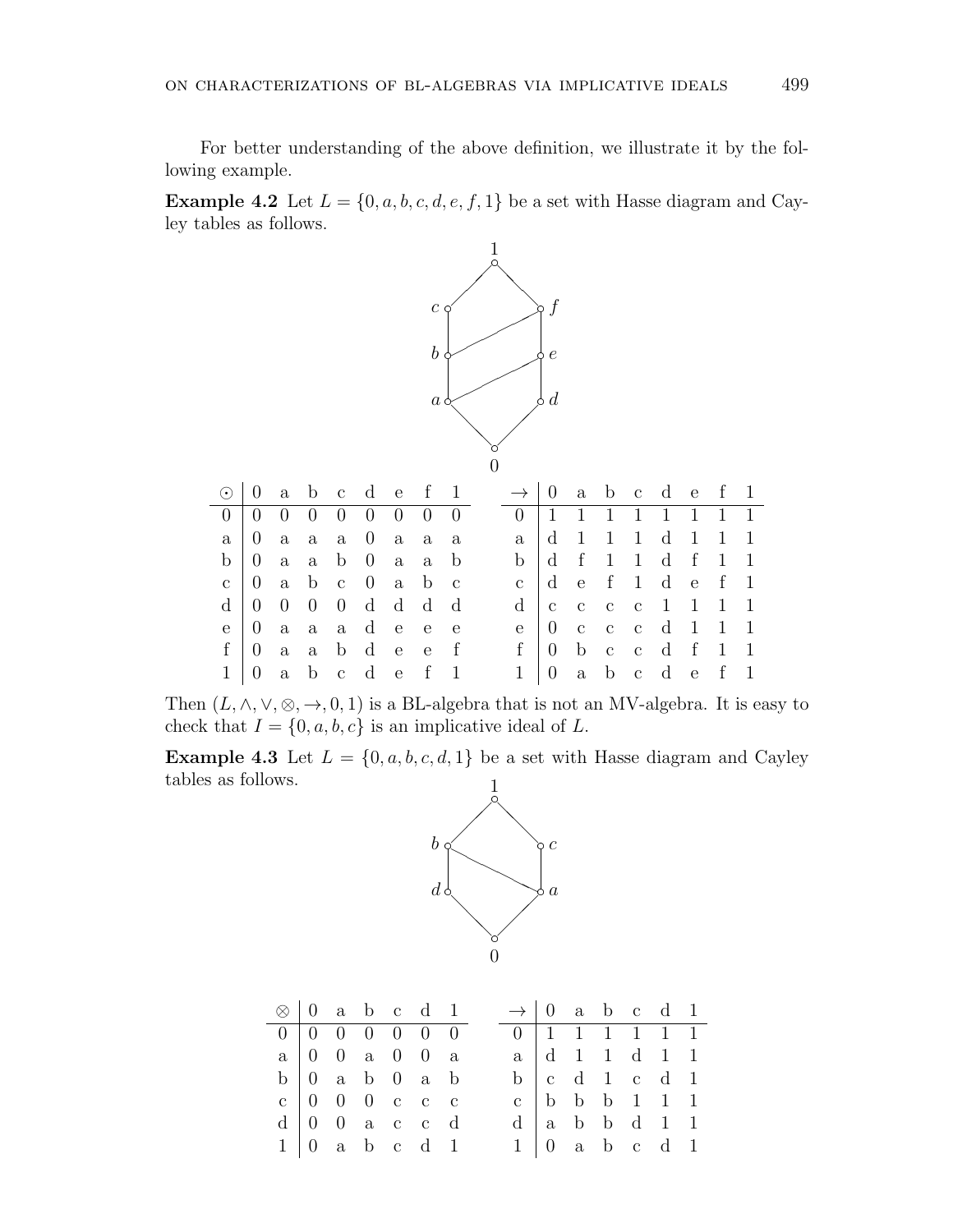For better understanding of the above definition, we illustrate it by the following example.

**Example 4.2** Let  $L = \{0, a, b, c, d, e, f, 1\}$  be a set with Hasse diagram and Cayley tables as follows.



Then  $(L, \wedge, \vee, \otimes, \rightarrow, 0, 1)$  is a BL-algebra that is not an MV-algebra. It is easy to check that  $I = \{0, a, b, c\}$  is an implicative ideal of L.

**Example 4.3** Let  $L = \{0, a, b, c, d, 1\}$  be a set with Hasse diagram and Cayley tables as follows.



|  |  | $\otimes$   0 a b c d 1                                 |  | $\rightarrow$ 0 a b c d 1 |  |  |                                                         |  |
|--|--|---------------------------------------------------------|--|---------------------------|--|--|---------------------------------------------------------|--|
|  |  | $0 \t 0 \t 0 \t 0 \t 0 \t 0$                            |  |                           |  |  |                                                         |  |
|  |  | $a \,   \, 0 \, 0 \, a \, 0 \, 0 \, a$                  |  |                           |  |  | $a \mid d \quad 1 \quad 1 \quad d \quad 1 \quad 1$      |  |
|  |  | $b \begin{pmatrix} 0 & a & b & 0 & a & b \end{pmatrix}$ |  |                           |  |  | $b \begin{bmatrix} c & d & 1 & c & d & 1 \end{bmatrix}$ |  |
|  |  | c   0 0 0 c c c                                         |  |                           |  |  | c   b   b   1   1   1   $\frac{1}{2}$                   |  |
|  |  | $d \mid 0$ 0 a c c d                                    |  |                           |  |  | $d$ a b b d 1 1                                         |  |
|  |  | $1 \vert 0$ a b c d 1                                   |  |                           |  |  | $1 \vert 0$ a b c d 1                                   |  |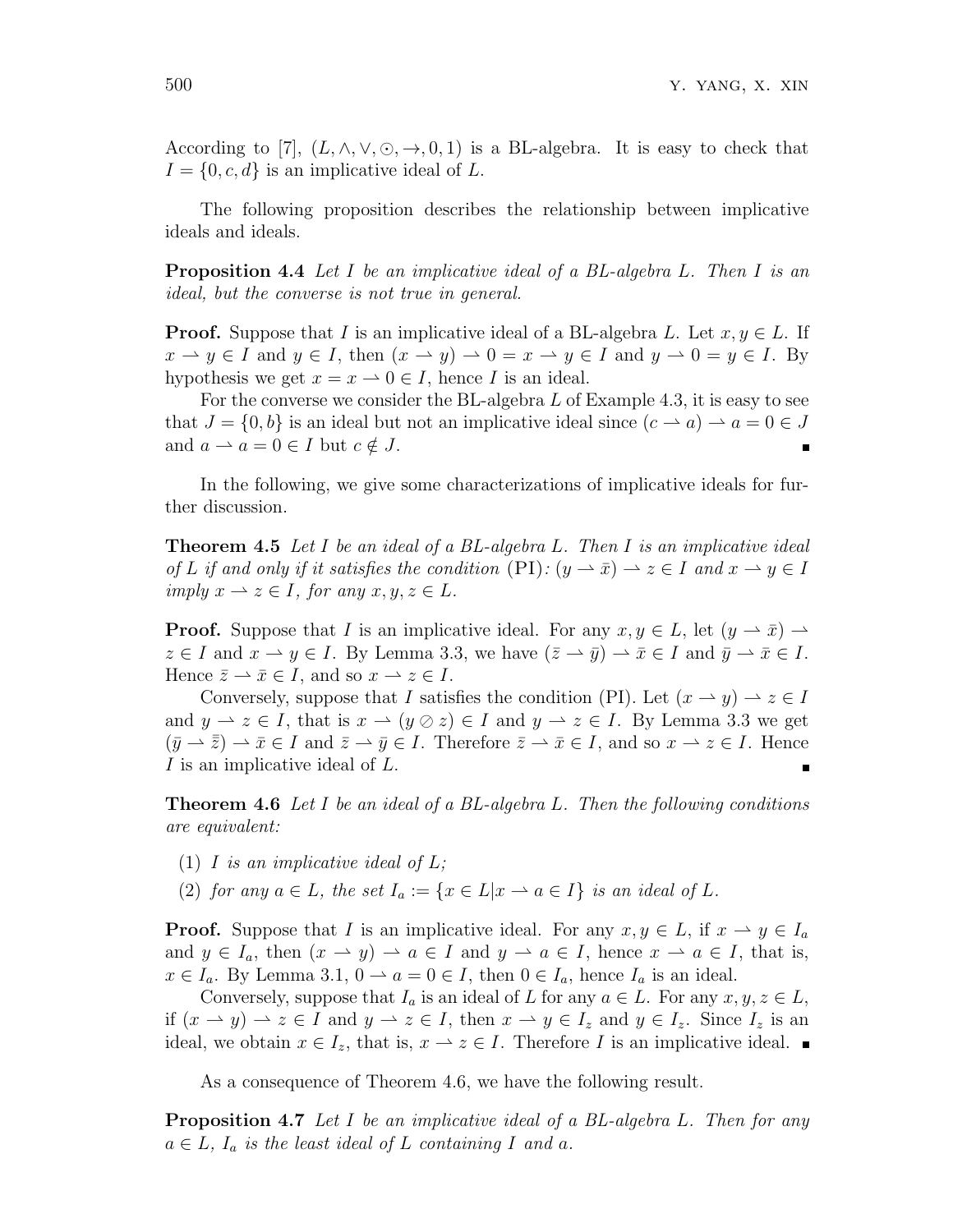According to [7],  $(L, \wedge, \vee, \odot, \rightarrow, 0, 1)$  is a BL-algebra. It is easy to check that  $I = \{0, c, d\}$  is an implicative ideal of L.

The following proposition describes the relationship between implicative ideals and ideals.

**Proposition 4.4** *Let I be an implicative ideal of a BL-algebra L. Then I is an ideal, but the converse is not true in general.*

**Proof.** Suppose that *I* is an implicative ideal of a BL-algebra *L*. Let  $x, y \in L$ . If  $x \to y \in I$  and  $y \in I$ , then  $(x \to y) \to 0 = x \to y \in I$  and  $y \to 0 = y \in I$ . By hypothesis we get  $x = x \rightarrow 0 \in I$ , hence *I* is an ideal.

For the converse we consider the BL-algebra *L* of Example 4.3, it is easy to see that  $J = \{0, b\}$  is an ideal but not an implicative ideal since  $(c \rightarrow a) \rightarrow a = 0 \in J$ and  $a \rightharpoonup a = 0 \in I$  but  $c \notin J$ .

In the following, we give some characterizations of implicative ideals for further discussion.

**Theorem 4.5** *Let I be an ideal of a BL-algebra L. Then I is an implicative ideal of L* if and only if it satisfies the condition  $(PI)$ :  $(y \to \bar{x}) \to z \in I$  and  $x \to y \in I$ *imply*  $x \to z \in I$ *, for any*  $x, y, z \in L$ *.* 

**Proof.** Suppose that *I* is an implicative ideal. For any  $x, y \in L$ , let  $(y \to \bar{x}) \to$  $z \in I$  and  $x \to y \in I$ . By Lemma 3.3, we have  $(\bar{z} \to \bar{y}) \to \bar{x} \in I$  and  $\bar{y} \to \bar{x} \in I$ . Hence  $\bar{z} \to \bar{x} \in I$ , and so  $x \to z \in I$ .

Conversely, suppose that *I* satisfies the condition (PI). Let  $(x \to y) \to z \in I$ and  $y \to z \in I$ , that is  $x \to (y \oslash z) \in I$  and  $y \to z \in I$ . By Lemma 3.3 we get  $(\bar{y} \rightarrow \bar{\bar{z}}) \rightarrow \bar{x} \in I$  and  $\bar{z} \rightarrow \bar{y} \in I$ . Therefore  $\bar{z} \rightarrow \bar{x} \in I$ , and so  $x \rightarrow z \in I$ . Hence *I* is an implicative ideal of *L*.

**Theorem 4.6** *Let I be an ideal of a BL-algebra L. Then the following conditions are equivalent:*

- (1) *I is an implicative ideal of L;*
- (2) *for any*  $a \in L$ *, the set*  $I_a := \{x \in L | x \to a \in I\}$  *is an ideal of*  $L$ *.*

**Proof.** Suppose that *I* is an implicative ideal. For any  $x, y \in L$ , if  $x \to y \in I_a$ and  $y \in I_a$ , then  $(x \to y) \to a \in I$  and  $y \to a \in I$ , hence  $x \to a \in I$ , that is, *x* ∈ *I*<sub>*a*</sub>. By Lemma 3.1, 0 → *a* = 0 ∈ *I*, then 0 ∈ *I*<sub>*a*</sub>, hence *I*<sub>*a*</sub> is an ideal.

Conversely, suppose that  $I_a$  is an ideal of  $L$  for any  $a \in L$ . For any  $x, y, z \in L$ , if  $(x \to y) \to z \in I$  and  $y \to z \in I$ , then  $x \to y \in I_z$  and  $y \in I_z$ . Since  $I_z$  is an ideal, we obtain  $x \in I_z$ , that is,  $x \to z \in I$ . Therefore *I* is an implicative ideal. ■

As a consequence of Theorem 4.6, we have the following result.

**Proposition 4.7** *Let I be an implicative ideal of a BL-algebra L. Then for any*  $a \in L$ ,  $I_a$  *is the least ideal of*  $L$  *containing*  $I$  *and*  $a$ *.*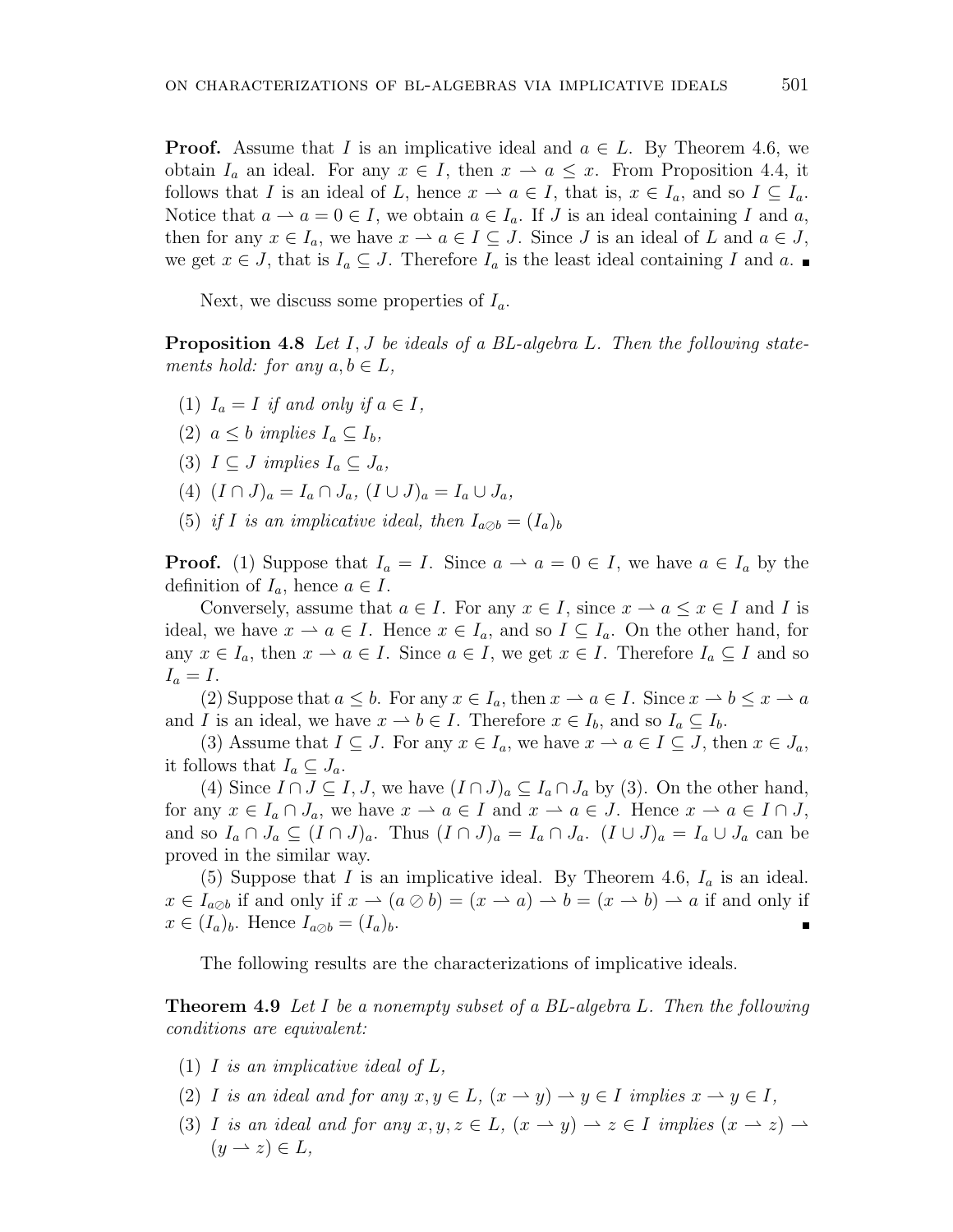**Proof.** Assume that *I* is an implicative ideal and  $a \in L$ . By Theorem 4.6, we obtain  $I_a$  an ideal. For any  $x \in I$ , then  $x \to a \leq x$ . From Proposition 4.4, it follows that *I* is an ideal of *L*, hence  $x \to a \in I$ , that is,  $x \in I_a$ , and so  $I \subseteq I_a$ . Notice that  $a \rightharpoonup a = 0 \in I$ , we obtain  $a \in I_a$ . If *J* is an ideal containing *I* and *a*, then for any  $x \in I_a$ , we have  $x \to a \in I \subseteq J$ . Since *J* is an ideal of *L* and  $a \in J$ , we get  $x \in J$ , that is  $I_a \subseteq J$ . Therefore  $I_a$  is the least ideal containing *I* and  $a$ .

Next, we discuss some properties of *Ia*.

**Proposition 4.8** *Let I, J be ideals of a BL-algebra L. Then the following statements hold: for any*  $a, b \in L$ *,* 

- (1)  $I_a = I$  *if and only if*  $a \in I$ ,
- (2)  $a \leq b$  *implies*  $I_a \subseteq I_b$ ,
- (3)  $I \subseteq J$  *implies*  $I_a \subseteq J_a$ ,
- $(4)$   $(I \cap J)_a = I_a \cap J_a$ ,  $(I \cup J)_a = I_a \cup J_a$ ,
- (5) *if I is an implicative ideal, then*  $I_{a\oslash b} = (I_a)_b$

**Proof.** (1) Suppose that  $I_a = I$ . Since  $a \rightharpoonup a = 0 \in I$ , we have  $a \in I_a$  by the definition of  $I_a$ , hence  $a \in I$ .

Conversely, assume that  $a \in I$ . For any  $x \in I$ , since  $x \to a \leq x \in I$  and *I* is ideal, we have  $x \to a \in I$ . Hence  $x \in I_a$ , and so  $I \subseteq I_a$ . On the other hand, for any  $x \in I_a$ , then  $x \to a \in I$ . Since  $a \in I$ , we get  $x \in I$ . Therefore  $I_a \subseteq I$  and so  $I_a = I$ .

(2) Suppose that  $a \leq b$ . For any  $x \in I_a$ , then  $x \to a \in I$ . Since  $x \to b \leq x \to a$ and *I* is an ideal, we have  $x \to b \in I$ . Therefore  $x \in I_b$ , and so  $I_a \subseteq I_b$ .

(3) Assume that  $I \subseteq J$ . For any  $x \in I_a$ , we have  $x \to a \in I \subseteq J$ , then  $x \in J_a$ , it follows that  $I_a \subseteq J_a$ .

(4) Since  $I \cap J \subseteq I$ , *J*, we have  $(I \cap J)_a \subseteq I_a \cap J_a$  by (3). On the other hand, for any  $x \in I_a \cap J_a$ , we have  $x \to a \in I$  and  $x \to a \in J$ . Hence  $x \to a \in I \cap J$ , and so  $I_a \cap J_a \subseteq (I \cap J)_a$ . Thus  $(I \cap J)_a = I_a \cap J_a$ .  $(I \cup J)_a = I_a \cup J_a$  can be proved in the similar way.

(5) Suppose that *I* is an implicative ideal. By Theorem 4.6,  $I_a$  is an ideal.  $x \in I_{a\oslash b}$  if and only if  $x \to (a \oslash b) = (x \to a) \to b = (x \to b) \to a$  if and only if  $x \in (I_a)_b$ . Hence  $I_{a \oslash b} = (I_a)_b$ .

The following results are the characterizations of implicative ideals.

**Theorem 4.9** *Let I be a nonempty subset of a BL-algebra L. Then the following conditions are equivalent:*

- (1) *I is an implicative ideal of L,*
- (2) *I is an ideal and for any*  $x, y \in L$ ,  $(x \rightarrow y) \rightarrow y \in I$  *implies*  $x \rightarrow y \in I$ ,
- (3) *I is an ideal and for any*  $x, y, z \in L$ ,  $(x \rightarrow y) \rightarrow z \in I$  *implies*  $(x \rightarrow z) \rightarrow$  $(y \rightarrow z) \in L$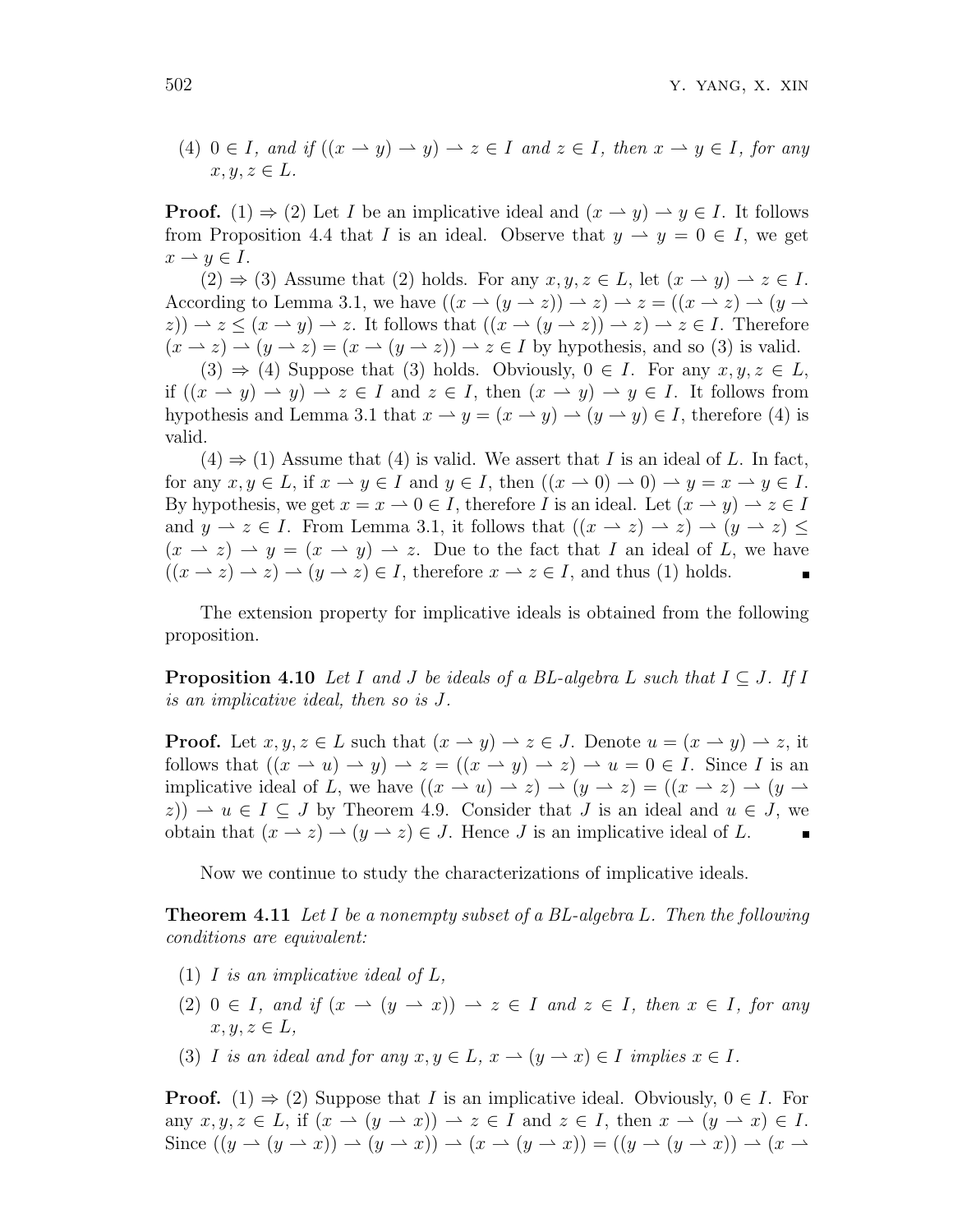(4)  $0 \in I$ *, and if*  $((x \rightarrow y) \rightarrow y) \rightarrow z \in I$  *and*  $z \in I$ *, then*  $x \rightarrow y \in I$ *, for any*  $x, y, z \in L$ *.* 

**Proof.** (1)  $\Rightarrow$  (2) Let *I* be an implicative ideal and  $(x \rightarrow y) \rightarrow y \in I$ . It follows from Proposition 4.4 that *I* is an ideal. Observe that  $y \to y = 0 \in I$ , we get  $x \rightarrow y \in I$ .

 $(2) \Rightarrow (3)$  Assume that  $(2)$  holds. For any  $x, y, z \in L$ , let  $(x \rightarrow y) \rightarrow z \in I$ . According to Lemma 3.1, we have  $((x \rightarrow (y \rightarrow z)) \rightarrow z) \rightarrow z = ((x \rightarrow z) \rightarrow (y \rightarrow z))$  $(z)$ )  $\rightarrow$   $z \leq (x \rightarrow y) \rightarrow z$ . It follows that  $((x \rightarrow (y \rightarrow z)) \rightarrow z) \rightarrow z \in I$ . Therefore  $(x \to z) \to (y \to z) = (x \to (y \to z)) \to z \in I$  by hypothesis, and so (3) is valid.

 $(3) \Rightarrow (4)$  Suppose that  $(3)$  holds. Obviously,  $0 \in I$ . For any  $x, y, z \in L$ , if  $((x \rightarrow y) \rightarrow y) \rightarrow z \in I$  and  $z \in I$ , then  $(x \rightarrow y) \rightarrow y \in I$ . It follows from hypothesis and Lemma 3.1 that  $x \to y = (x \to y) \to (y \to y) \in I$ , therefore (4) is valid.

 $(4) \Rightarrow (1)$  Assume that  $(4)$  is valid. We assert that *I* is an ideal of *L*. In fact, for any  $x, y \in L$ , if  $x \to y \in I$  and  $y \in I$ , then  $((x \to 0) \to 0) \to y = x \to y \in I$ . By hypothesis, we get  $x = x \to 0 \in I$ , therefore *I* is an ideal. Let  $(x \to y) \to z \in I$ and  $y \to z \in I$ . From Lemma 3.1, it follows that  $((x \to z) \to z) \to (y \to z) \le$  $(x \to z) \to y = (x \to y) \to z$ . Due to the fact that *I* an ideal of *L*, we have  $((x \rightarrow z) \rightarrow z) \rightarrow (y \rightarrow z) \in I$ , therefore  $x \rightarrow z \in I$ , and thus (1) holds.

The extension property for implicative ideals is obtained from the following proposition.

**Proposition 4.10** *Let I* and *J* be ideals of a BL-algebra L such that  $I \subseteq J$ . If *I is an implicative ideal, then so is J.*

**Proof.** Let  $x, y, z \in L$  such that  $(x \to y) \to z \in J$ . Denote  $u = (x \to y) \to z$ , it follows that  $((x \rightarrow u) \rightarrow y) \rightarrow z = ((x \rightarrow y) \rightarrow z) \rightarrow u = 0 \in I$ . Since *I* is an implicative ideal of *L*, we have  $((x \rightarrow u) \rightarrow z) \rightarrow (y \rightarrow z) = ((x \rightarrow z) \rightarrow (y \rightarrow z))$  $(z)$ )  $\rightarrow u \in I \subseteq J$  by Theorem 4.9. Consider that *J* is an ideal and  $u \in J$ , we obtain that  $(x \to z) \to (y \to z) \in J$ . Hence *J* is an implicative ideal of *L*.

Now we continue to study the characterizations of implicative ideals.

**Theorem 4.11** *Let I be a nonempty subset of a BL-algebra L. Then the following conditions are equivalent:*

- (1) *I is an implicative ideal of L,*
- $(2)$   $0 \in I$ *, and if*  $(x \to (y \to x)) \to z \in I$  *and*  $z \in I$ *, then*  $x \in I$ *, for any*  $x, y, z \in L$
- (3) *I is an ideal and for any*  $x, y \in L$ ,  $x \to (y \to x) \in I$  *implies*  $x \in I$ *.*

**Proof.** (1)  $\Rightarrow$  (2) Suppose that *I* is an implicative ideal. Obviously,  $0 \in I$ . For any  $x, y, z \in L$ , if  $(x \to (y \to x)) \to z \in I$  and  $z \in I$ , then  $x \to (y \to x) \in I$ . Since  $((y \rightarrow (y \rightarrow x)) \rightarrow (y \rightarrow x)) \rightarrow (x \rightarrow (y \rightarrow x)) = ((y \rightarrow (y \rightarrow x)) \rightarrow (x \rightarrow$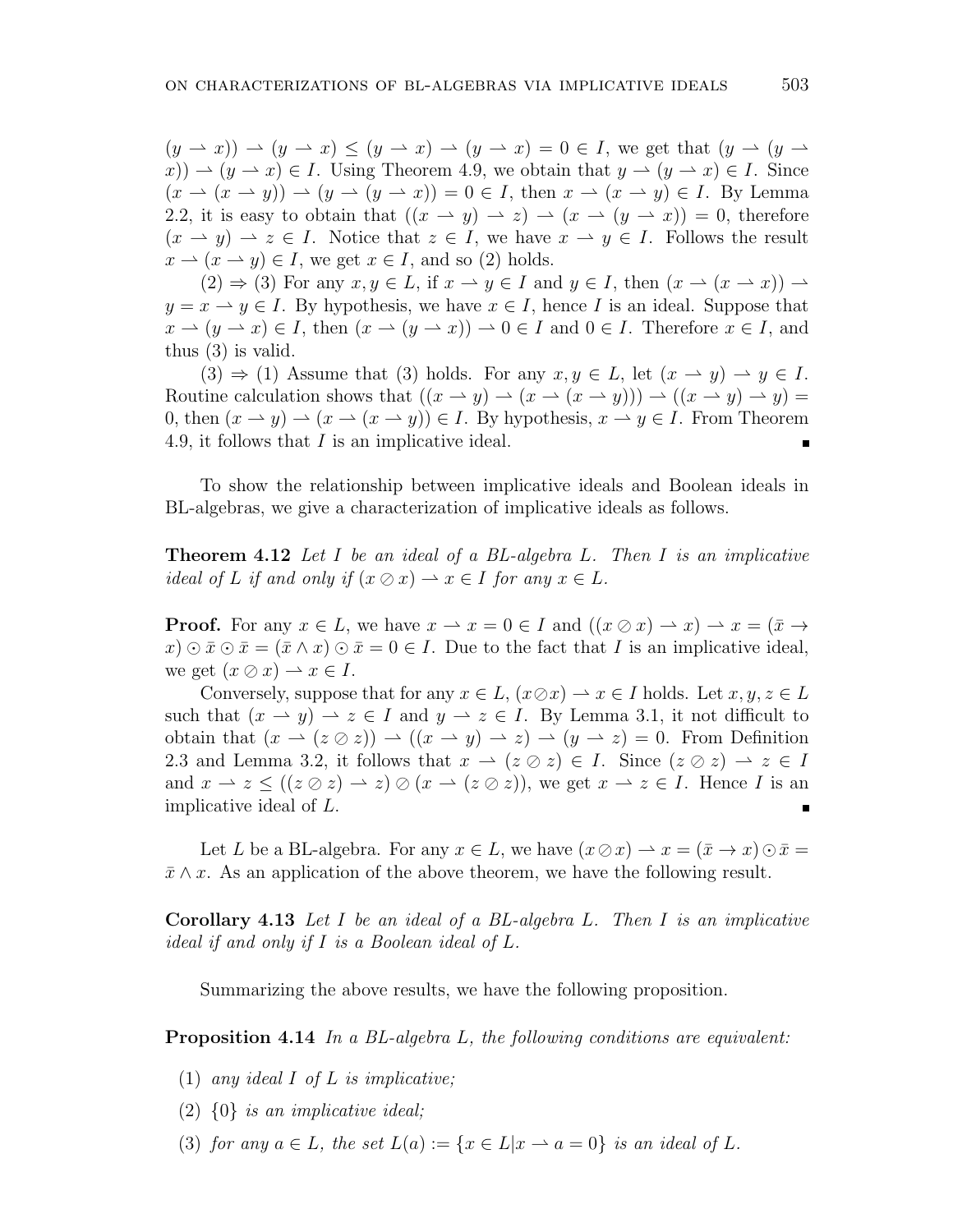$(y \rightarrow x)$ )  $\rightarrow (y \rightarrow x) \le (y \rightarrow x) \rightarrow (y \rightarrow x) = 0 \in I$ , we get that  $(y \rightarrow (y \rightarrow x))$  $f(x) \rightarrow (y \rightarrow x) \in I$ . Using Theorem 4.9, we obtain that  $y \rightarrow (y \rightarrow x) \in I$ . Since  $(x \to (x \to y)) \to (y \to (y \to x)) = 0 \in I$ , then  $x \to (x \to y) \in I$ . By Lemma 2.2, it is easy to obtain that  $((x \rightarrow y) \rightarrow z) \rightarrow (x \rightarrow (y \rightarrow x)) = 0$ , therefore  $(x \rightarrow y) \rightarrow z \in I$ . Notice that  $z \in I$ , we have  $x \rightarrow y \in I$ . Follows the result  $x \to (x \to y) \in I$ , we get  $x \in I$ , and so (2) holds.

 $(2) \Rightarrow (3)$  For any  $x, y \in L$ , if  $x \to y \in I$  and  $y \in I$ , then  $(x \to (x \to x)) \to$  $y = x \rightarrow y \in I$ . By hypothesis, we have  $x \in I$ , hence *I* is an ideal. Suppose that  $x \to (y \to x) \in I$ , then  $(x \to (y \to x)) \to 0 \in I$  and  $0 \in I$ . Therefore  $x \in I$ , and thus (3) is valid.

 $(3) \Rightarrow (1)$  Assume that  $(3)$  holds. For any  $x, y \in L$ , let  $(x \rightarrow y) \rightarrow y \in I$ . Routine calculation shows that  $((x \rightarrow y) \rightarrow (x \rightarrow (x \rightarrow y))) \rightarrow ((x \rightarrow y) \rightarrow y)$ 0, then  $(x \to y) \to (x \to (x \to y)) \in I$ . By hypothesis,  $x \to y \in I$ . From Theorem 4.9, it follows that *I* is an implicative ideal.

To show the relationship between implicative ideals and Boolean ideals in BL-algebras, we give a characterization of implicative ideals as follows.

**Theorem 4.12** *Let I be an ideal of a BL-algebra L. Then I is an implicative ideal of L if and only if*  $(x \oslash x) \rightarrow x \in I$  *for any*  $x \in L$ *.* 

**Proof.** For any  $x \in L$ , we have  $x \to x = 0 \in I$  and  $((x \oslash x) \to x) \to x = (\bar{x} \to x)$  $x \in \overline{x} \cup \overline{x} = (\overline{x} \wedge x) \cup \overline{x} = 0 \in I$ . Due to the fact that *I* is an implicative ideal, we get  $(x \oslash x) \rightarrow x \in I$ .

Conversely, suppose that for any  $x \in L$ ,  $(x \oslash x) \rightarrow x \in I$  holds. Let  $x, y, z \in L$ such that  $(x \to y) \to z \in I$  and  $y \to z \in I$ . By Lemma 3.1, it not difficult to obtain that  $(x \to (z \oslash z)) \to ((x \to y) \to z) \to (y \to z) = 0$ . From Definition 2.3 and Lemma 3.2, it follows that  $x \to (z \oslash z) \in I$ . Since  $(z \oslash z) \to z \in I$ and  $x \to z \leq ((z \oslash z) \to z) \oslash (x \to (z \oslash z))$ , we get  $x \to z \in I$ . Hence *I* is an implicative ideal of *L*.

Let *L* be a BL-algebra. For any  $x \in L$ , we have  $(x \oslash x) \rightarrow x = (\bar{x} \rightarrow x) \odot \bar{x} =$  $\bar{x} \wedge x$ . As an application of the above theorem, we have the following result.

**Corollary 4.13** *Let I be an ideal of a BL-algebra L. Then I is an implicative ideal if and only if I is a Boolean ideal of L.*

Summarizing the above results, we have the following proposition.

**Proposition 4.14** *In a BL-algebra L, the following conditions are equivalent:*

- (1) *any ideal I of L is implicative;*
- (2) *{*0*} is an implicative ideal;*
- (3) *for any*  $a \in L$ *, the set*  $L(a) := \{x \in L | x \to a = 0\}$  *is an ideal of*  $L$ *.*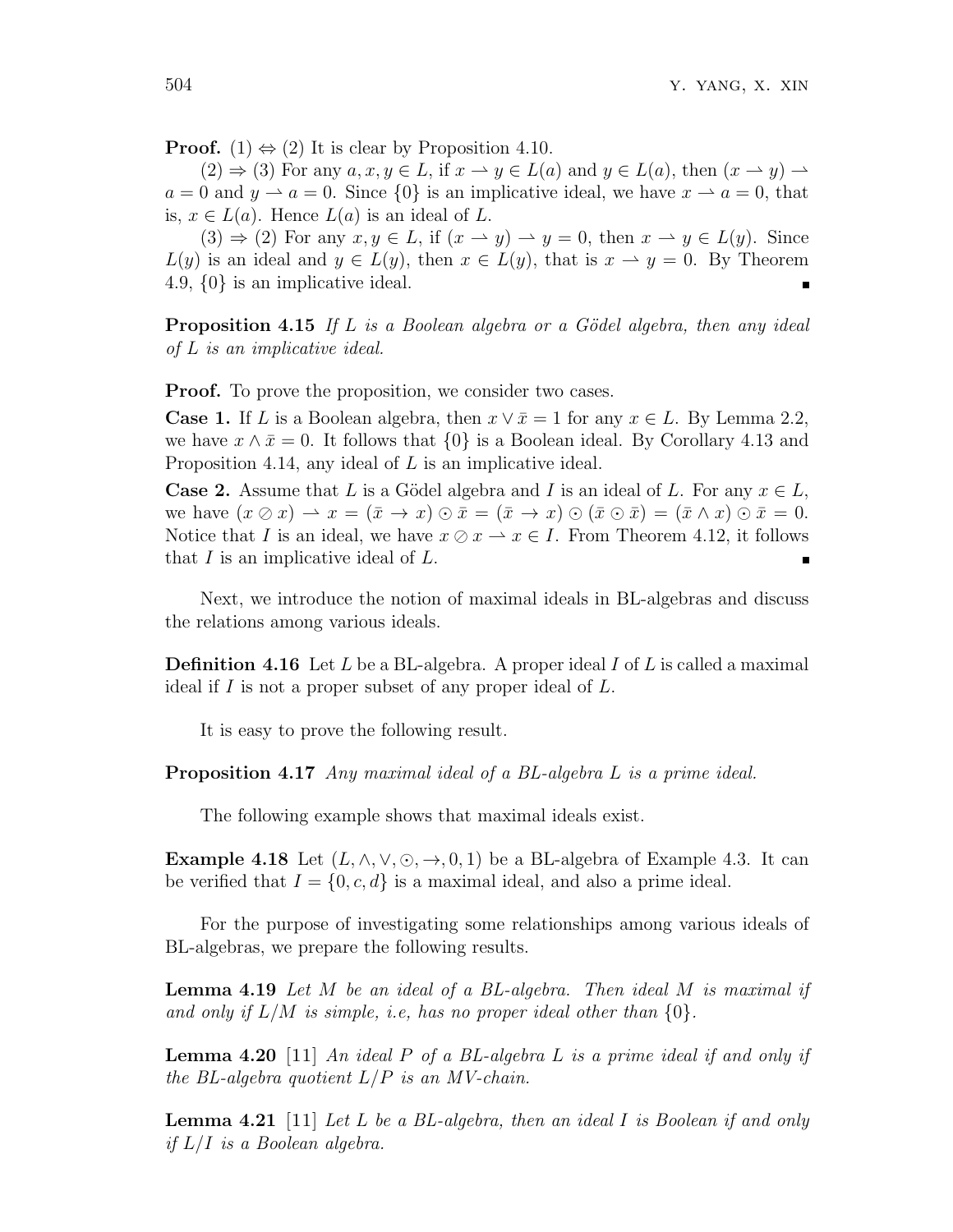**Proof.**  $(1) \Leftrightarrow (2)$  It is clear by Proposition 4.10.

 $(2) \Rightarrow (3)$  For any  $a, x, y \in L$ , if  $x \rightarrow y \in L(a)$  and  $y \in L(a)$ , then  $(x \rightarrow y) \rightarrow$  $a = 0$  and  $y \rightarrow a = 0$ . Since  $\{0\}$  is an implicative ideal, we have  $x \rightarrow a = 0$ , that is,  $x \in L(a)$ . Hence  $L(a)$  is an ideal of  $L$ .

 $(3) \Rightarrow (2)$  For any  $x, y \in L$ , if  $(x \rightarrow y) \rightarrow y = 0$ , then  $x \rightarrow y \in L(y)$ . Since  $L(y)$  is an ideal and  $y \in L(y)$ , then  $x \in L(y)$ , that is  $x \to y = 0$ . By Theorem 4.9, *{*0*}* is an implicative ideal.

**Proposition 4.15** If L is a Boolean algebra or a Gödel algebra, then any ideal *of L is an implicative ideal.*

**Proof.** To prove the proposition, we consider two cases.

**Case 1.** If *L* is a Boolean algebra, then  $x \vee \overline{x} = 1$  for any  $x \in L$ . By Lemma 2.2, we have  $x \wedge \bar{x} = 0$ . It follows that  $\{0\}$  is a Boolean ideal. By Corollary 4.13 and Proposition 4.14, any ideal of *L* is an implicative ideal.

**Case 2.** Assume that *L* is a Gödel algebra and *I* is an ideal of *L*. For any  $x \in L$ , we have  $(x \oslash x) \rightarrow x = (\bar{x} \rightarrow x) \odot \bar{x} = (\bar{x} \rightarrow x) \odot (\bar{x} \odot \bar{x}) = (\bar{x} \wedge x) \odot \bar{x} = 0.$ Notice that *I* is an ideal, we have  $x \oslash x \rightarrow x \in I$ . From Theorem 4.12, it follows that *I* is an implicative ideal of *L*.

Next, we introduce the notion of maximal ideals in BL-algebras and discuss the relations among various ideals.

**Definition 4.16** Let *L* be a BL-algebra. A proper ideal *I* of *L* is called a maximal ideal if *I* is not a proper subset of any proper ideal of *L*.

It is easy to prove the following result.

**Proposition 4.17** *Any maximal ideal of a BL-algebra L is a prime ideal.*

The following example shows that maximal ideals exist.

**Example 4.18** Let  $(L, \wedge, \vee, \odot, \rightarrow, 0, 1)$  be a BL-algebra of Example 4.3. It can be verified that  $I = \{0, c, d\}$  is a maximal ideal, and also a prime ideal.

For the purpose of investigating some relationships among various ideals of BL-algebras, we prepare the following results.

**Lemma 4.19** *Let M be an ideal of a BL-algebra. Then ideal M is maximal if and only if L/M is simple, i.e, has no proper ideal other than {*0*}.*

**Lemma 4.20** [11] *An ideal P of a BL-algebra L is a prime ideal if and only if the BL-algebra quotient L/P is an MV-chain.*

**Lemma 4.21** [11] *Let L be a BL-algebra, then an ideal I is Boolean if and only if L/I is a Boolean algebra.*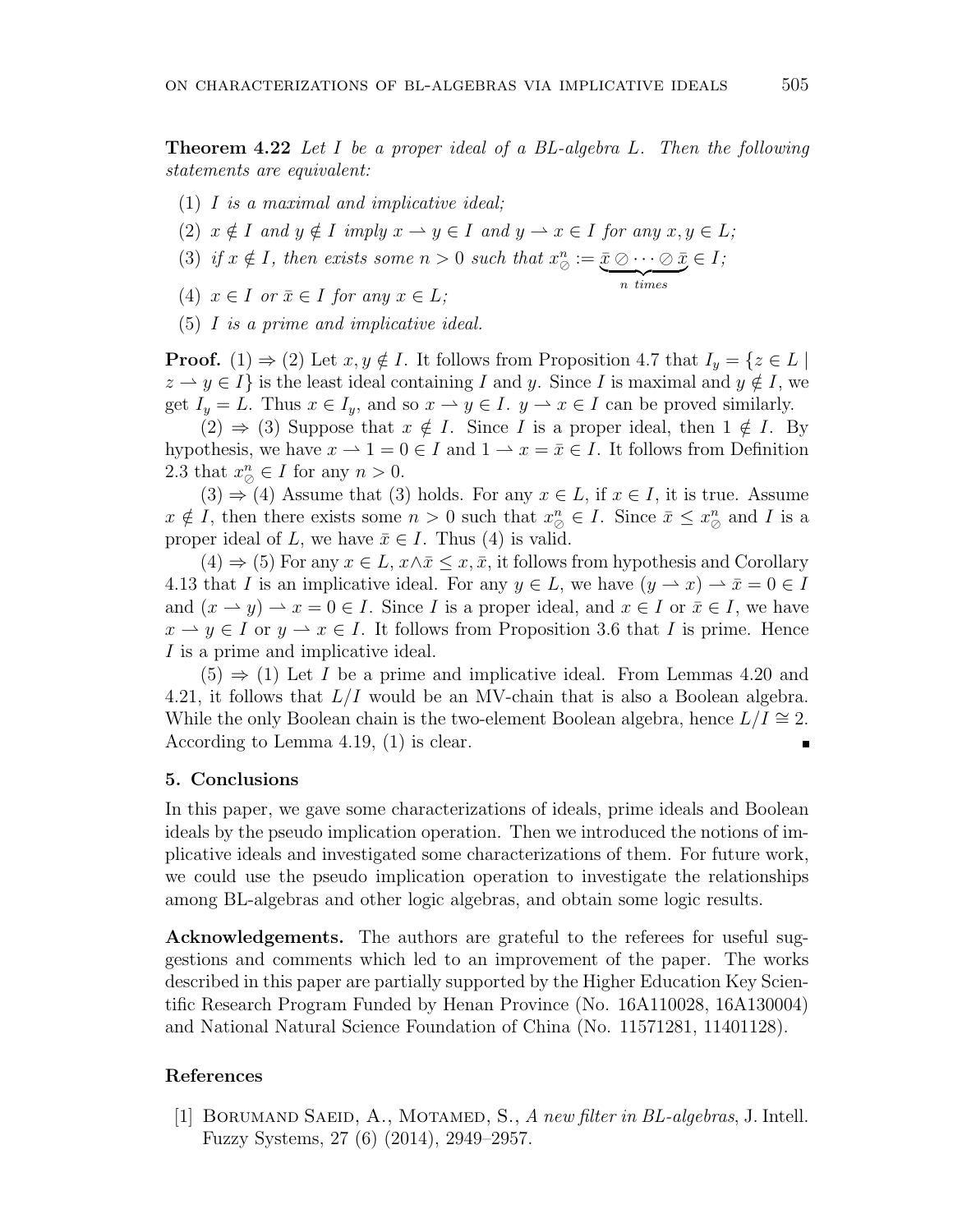**Theorem 4.22** *Let I be a proper ideal of a BL-algebra L. Then the following statements are equivalent:*

- (1) *I is a maximal and implicative ideal;*
- (2)  $x \notin I$  and  $y \notin I$  imply  $x \to y \in I$  and  $y \to x \in I$  for any  $x, y \in L$ ;
- (3) *if*  $x \notin I$ *, then exists some*  $n > 0$  *such that*  $x_{\oslash}^{n} := \underbrace{\bar{x} \oslash \cdots \oslash \bar{x}}_{n \text{ times}}$ *∈ I;*
- $(4)$   $x \in I$  or  $\overline{x} \in I$  for any  $x \in L$ ;
- (5) *I is a prime and implicative ideal.*

**Proof.** (1)  $\Rightarrow$  (2) Let  $x, y \notin I$ . It follows from Proposition 4.7 that  $I_y = \{z \in L \mid$  $z \rightarrow y \in I$ } is the least ideal containing *I* and *y*. Since *I* is maximal and  $y \notin I$ , we get  $I_y = L$ . Thus  $x \in I_y$ , and so  $x \to y \in I$ .  $y \to x \in I$  can be proved similarly.

(2)  $\Rightarrow$  (3) Suppose that *x* ∉ *I*. Since *I* is a proper ideal, then 1 ∉ *I*. By hypothesis, we have  $x \to 1 = 0 \in I$  and  $1 \to x = \overline{x} \in I$ . It follows from Definition 2.3 that  $x_{\oslash}^n \in I$  for any  $n > 0$ .

 $(3) \Rightarrow (4)$  Assume that  $(3)$  holds. For any  $x \in L$ , if  $x \in I$ , it is true. Assume  $x \notin I$ , then there exists some  $n > 0$  such that  $x_{\oslash}^n \in I$ . Since  $\bar{x} \leq x_{\oslash}^n$  and *I* is a proper ideal of *L*, we have  $\bar{x} \in I$ . Thus (4) is valid.

 $(4) \Rightarrow (5)$  For any  $x \in L$ ,  $x \wedge \overline{x} \leq x, \overline{x}$ , it follows from hypothesis and Corollary 4.13 that *I* is an implicative ideal. For any  $y \in L$ , we have  $(y \to x) \to \bar{x} = 0 \in I$ and  $(x \to y) \to x = 0 \in I$ . Since *I* is a proper ideal, and  $x \in I$  or  $\overline{x} \in I$ , we have  $x \to y \in I$  or  $y \to x \in I$ . It follows from Proposition 3.6 that *I* is prime. Hence *I* is a prime and implicative ideal.

 $(5) \Rightarrow (1)$  Let *I* be a prime and implicative ideal. From Lemmas 4.20 and 4.21, it follows that *L/I* would be an MV-chain that is also a Boolean algebra. While the only Boolean chain is the two-element Boolean algebra, hence  $L/I \cong 2$ . According to Lemma 4.19, (1) is clear.

#### **5. Conclusions**

In this paper, we gave some characterizations of ideals, prime ideals and Boolean ideals by the pseudo implication operation. Then we introduced the notions of implicative ideals and investigated some characterizations of them. For future work, we could use the pseudo implication operation to investigate the relationships among BL-algebras and other logic algebras, and obtain some logic results.

**Acknowledgements.** The authors are grateful to the referees for useful suggestions and comments which led to an improvement of the paper. The works described in this paper are partially supported by the Higher Education Key Scientific Research Program Funded by Henan Province (No. 16A110028, 16A130004) and National Natural Science Foundation of China (No. 11571281, 11401128).

#### **References**

[1] Borumand Saeid, A., Motamed, S., *A new filter in BL-algebras*, J. Intell. Fuzzy Systems, 27 (6) (2014), 2949–2957.